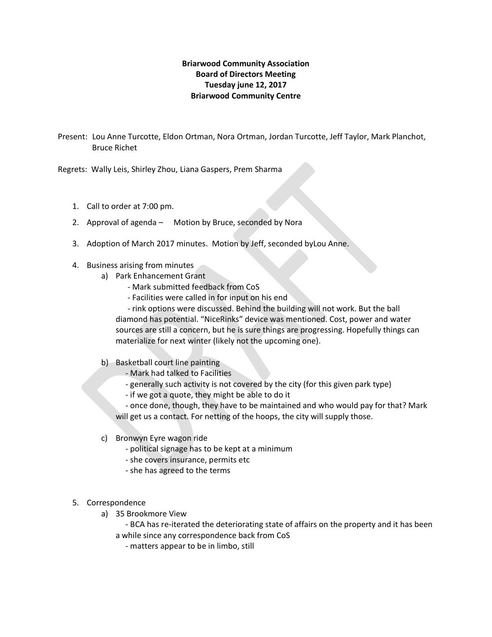## **Briarwood Community Association Board of Directors Meeting Tuesday june 12, 2017 Briarwood Community Centre**

Present: Lou Anne Turcotte, Eldon Ortman, Nora Ortman, Jordan Turcotte, Jeff Taylor, Mark Planchot, Bruce Richet

Regrets: Wally Leis, Shirley Zhou, Liana Gaspers, Prem Sharma

- 1. Call to order at 7:00 pm.
- 2. Approval of agenda Motion by Bruce, seconded by Nora
- 3. Adoption of March 2017 minutes. Motion by Jeff, seconded byLou Anne.
- 4. Business arising from minutes
	- a) Park Enhancement Grant
		- Mark submitted feedback from CoS
		- Facilities were called in for input on his end

 - rink options were discussed. Behind the building will not work. But the ball diamond has potential. "NiceRinks" device was mentioned. Cost, power and water sources are still a concern, but he is sure things are progressing. Hopefully things can materialize for next winter (likely not the upcoming one).

- b) Basketball court line painting
	- Mark had talked to Facilities
	- generally such activity is not covered by the city (for this given park type)
	- if we got a quote, they might be able to do it

 - once done, though, they have to be maintained and who would pay for that? Mark will get us a contact. For netting of the hoops, the city will supply those.

- c) Bronwyn Eyre wagon ride
	- political signage has to be kept at a minimum
	- she covers insurance, permits etc
	- she has agreed to the terms
- 5. Correspondence
	- a) 35 Brookmore View

 - BCA has re-iterated the deteriorating state of affairs on the property and it has been a while since any correspondence back from CoS

- matters appear to be in limbo, still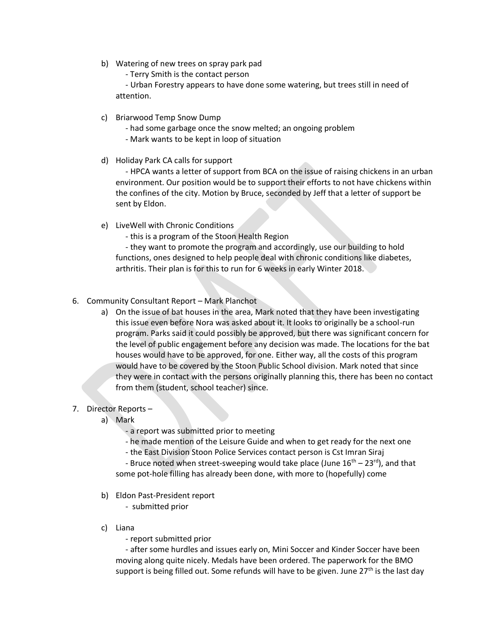- b) Watering of new trees on spray park pad
	- Terry Smith is the contact person

 - Urban Forestry appears to have done some watering, but trees still in need of attention.

- c) Briarwood Temp Snow Dump
	- had some garbage once the snow melted; an ongoing problem
	- Mark wants to be kept in loop of situation
- d) Holiday Park CA calls for support

 - HPCA wants a letter of support from BCA on the issue of raising chickens in an urban environment. Our position would be to support their efforts to not have chickens within the confines of the city. Motion by Bruce, seconded by Jeff that a letter of support be sent by Eldon.

e) LiveWell with Chronic Conditions

- this is a program of the Stoon Health Region

 - they want to promote the program and accordingly, use our building to hold functions, ones designed to help people deal with chronic conditions like diabetes, arthritis. Their plan is for this to run for 6 weeks in early Winter 2018.

- 6. Community Consultant Report Mark Planchot
	- a) On the issue of bat houses in the area, Mark noted that they have been investigating this issue even before Nora was asked about it. It looks to originally be a school-run program. Parks said it could possibly be approved, but there was significant concern for the level of public engagement before any decision was made. The locations for the bat houses would have to be approved, for one. Either way, all the costs of this program would have to be covered by the Stoon Public School division. Mark noted that since they were in contact with the persons originally planning this, there has been no contact from them (student, school teacher) since.
- 7. Director Reports
	- a) Mark
		- a report was submitted prior to meeting
		- he made mention of the Leisure Guide and when to get ready for the next one
		- the East Division Stoon Police Services contact person is Cst Imran Siraj

- Bruce noted when street-sweeping would take place (June  $16^{th}$  –  $23^{rd}$ ), and that some pot-hole filling has already been done, with more to (hopefully) come

b) Eldon Past-President report

- submitted prior

- c) Liana
	- report submitted prior

 - after some hurdles and issues early on, Mini Soccer and Kinder Soccer have been moving along quite nicely. Medals have been ordered. The paperwork for the BMO support is being filled out. Some refunds will have to be given. June  $27<sup>th</sup>$  is the last day